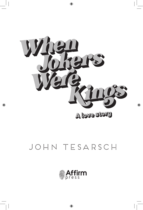

## JOHN TESARSCH

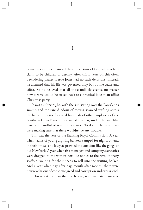1

Some people are convinced they are victims of fate, while others claim to be children of destiny. After thirty years on this often bewildering planet, Bertie Jones had no such delusions. Instead, he assumed that his life was governed only by routine cause and effect. So he believed that all these unlikely events, no matter how bizarre, could be traced back to a practical joke at an office Christmas party.

It was a sultry night, with the sun setting over the Docklands swamp and the rancid odour of rotting seaweed wafting across the harbour. Bertie followed hundreds of other employees of the Southern Cross Bank into a waterfront bar, under the watchful gaze of a handful of senior executives. No doubt the executives were making sure that there wouldn't be any trouble.

This was the year of the Banking Royal Commission. A year when teams of young aspiring bankers camped for nights on end in their offices, and lawyers prowled the corridors like the gangs of old New York. A year when risk managers and company secretaries were dragged to the witness box like nobles to the revolutionary scaffold, waiting for their heads to roll into the waiting basket. And a year when day after day, month after month, there were new revelations of corporate greed and corruption and excess, each more breathtaking than the one before, with saturated coverage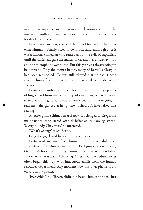in all the newspapers and on radio and television and across the internet. Conflicts of interest. Forgery. Fees for no service. Fees for dead customers.

Every previous year, the bank had paid for lavish Christmas entertainment. Usually a well-known rock band, although once it was a famous comedian who ranted about the evils of capitalism until the chairman gave the master of ceremonies a sideways nod and the microphone went dead. But this year was always going to be different. Only the month before, many of Bertie's colleagues had been retrenched. He was still relieved that he hadn't been rissoled himself, given that he was a mail clerk: an endangered species.

Bertie was standing at the bar, beer in hand, scanning a platter of finger food from under his mop of raven hair, when he heard someone sobbing. It was Debbie from accounts. 'They're going to sack me.' She glanced at her phone. 'I shouldn't have raised that red flag.'

Another phone chimed near Bertie. It belonged to Greg from maintenance, who stared with disbelief at its glowing screen. 'Merry bloody Christmas,' he muttered.

'What's wrong?' asked Bertie.

Greg shrugged, and handed him the phone.

Bertie read an email from human resources, scheduling an appointment for Monday morning. 'Don't jump to conclusions, Greg. Let's hope it's nothing serious.' But even as he said this, Bertie knew it was wishful thinking. A fresh round of redundancies often began this way, with innocuous emails from the human resources department. Any moment now, his own phone could vibrate in his pocket.

'Incredible,' said Trevor, sliding in beside him at the bar. 'Just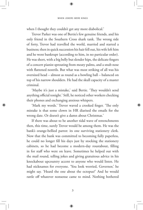when I thought they couldn't get any more diabolical.'

Trevor Parker was one of Bertie's few genuine friends, and his only friend in the Southern Cross shark tank. The wrong side of forty, Trevor had travelled the world, married and started a business; then in quick succession his hair fell out, his wife left him and he went bankrupt (according to him, in no particular order). He was short, with a big belly but slender hips, the delicate fingers of a concert pianist sprouting from meaty palms, and a snub nose with flattened nostrils. But what was most striking of all was his oversized head – almost as round as a bowling ball – balanced on top of his narrow shoulders. He had the skull capacity of a master criminal.

'Maybe it's just a mistake,' said Bertie. 'They wouldn't send anything official tonight.' Still, he noticed other workers checking their phones and exchanging anxious whispers.

'Mark my words.' Trevor waved a crooked finger. 'The only mistake is that some clown in HR diarised the emails for the wrong date. Or doesn't give a damn about Christmas.'

If there was about to be another tidal wave of retrenchments then, this time, surely Trevor would be among them. He was the bank's orange-bellied parrot: its one surviving stationery clerk. Now that the bank was committed to becoming fully paperless, he could no longer fill his days just by stocking the stationery cabinets, so he had become a modern-day roustabout, filling in for staff who were on leave. Sometimes he helped out with the mail round, telling jokes and giving gratuitous advice in his knockabout upcountry accent to anyone who would listen. He had nicknames for everyone. 'You look worried, Governor,' he might say. 'Heard the one about the octopus?' And he would rattle off whatever nonsense came to mind. Nothing bothered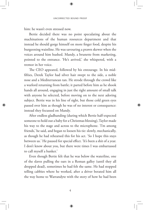him: he wasn't even stressed now.

Bertie decided there was no point speculating about the machinations of the human resources department and that instead he should gorge himself on more finger food, despite his burgeoning waistline. He was savouring a prawn skewer when the voices around him hushed. Mandy, a brunette from marketing, pointed to the entrance. 'He's arrived,' she whispered, with a tremor in her voice.

The CEO appeared, followed by his entourage. In his midfifties, Derek Taylor had silver hair swept to the side, a noble nose and a Mediterranean tan. He strode through the crowd like a warlord returning from battle; it parted before him as he shook hands all around, engaging in just the right amount of small talk with anyone he selected, before moving on to the next adoring subject. Bertie was in his line of sight, but those cold green eyes passed over him as though he was of no interest or consequence: instead they focussed on Mandy.

After endless gladhanding (during which Bertie half-expected someone to hold out a baby for a Christmas blessing), Taylor made his way to the stage and across to the microphone. 'I'm among friends,' he said, and began to loosen his tie: slowly, mechanically, as though he had rehearsed this for his act. 'So I hope this stays between us.' He paused for special effect. 'It's been a shit of a year. I don't know about you, but there were times I was embarrassed to call myself a banker.'

Even though Bertie felt that he was below the waterline, one of the slaves pulling the oars in a Roman galley (until they all dropped dead), sometimes he had felt the same. He had stopped telling cabbies where he worked, after a driver berated him all the way home to Warrandyte with the story of how he had been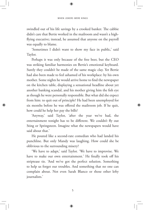swindled out of his life savings by a crooked banker. The cabbie didn't care that Bertie worked in the mailroom and wasn't a highflying executive; instead, he assumed that anyone on the payroll was equally to blame.

'Sometimes I didn't want to show my face in public,' said Taylor.

Perhaps it was only because of the free beer, but the CEO was striking familiar harmonies on Bertie's emotional keyboard. Surely they couldn't be made of the same magic clay. Yet Bertie had also been made to feel ashamed of his workplace: by his own mother. Some nights he would arrive home to find the newspaper on the kitchen table, displaying a sensational headline about yet another banking scandal, and his mother giving him the fish eye as though he were personally responsible. But what did she expect from him: to quit out of principle? He had been unemployed for six months before he was offered the mailroom job. If he quit, how could he help her pay the bills?

'Anyway,' said Taylor, 'after the year we've had, the entertainment tonight has to be different. We couldn't fly out Sting or Springsteen. Imagine what the newspapers would have said about that.'

He pouted like a second-rate comedian who had landed his punchline. But only Mandy was laughing. How could she be oblivious to the surrounding misery?

'We have to adapt,' said Taylor. 'We have to improvise. We have to make our own entertainment.' He finally took off his striptease tie. 'And we've got the perfect solution. Something to help us forget our troubles. And something that no one can complain about. Not even Sarah Blanco or those other lefty journalists.'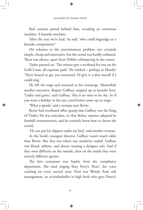Red curtains parted behind him, revealing an enormous machine. A karaoke machine.

'After the year we've had,' he said, 'who could begrudge us a karaoke competition?'

His solution to the entertainment problem was certainly simple, cheap and innovative, but the crowd was hardly enthused. There was silence, apart from Debbie whimpering in the corner.

Taylor pressed on. 'The winner gets a weekend for two on the Gold Coast, all expenses paid.' He winked – perhaps at Mandy? 'That's bound to get you interested. I'd give it a shot myself if I could sing.'

He left the stage and returned to his entourage. Meanwhile another executive, Rupert Gaffney, stepped up as karaoke host. 'Ladies and gents,' said Gaffney, 'this is no time to be shy. So if you want a holiday in the sun, you'd better come up on stage.'

'What a spunk,' said a woman near Bertie.

Bertie had overheard office gossip that Gaffney was the King of Tinder. He was articulate, in that blokey manner adopted by football commentators, and he certainly knew how to charm the crowd.

'He can put his slippers under my bed,' said another woman.

As the bank's youngest director, Gaffney wasn't much older than Bertie. But that was where any similarity ended. Gaffney was blond, athletic, and always wearing a designer suit. And if they were different on the outside, then on the inside they were entirely different species.

The first contestant was Sophie from the compliance department. She tried singing Katy Perry's 'Roar', her voice cracking on every second note. Next was Wendy from risk management, an ex-basketballer in high heels who gave Prince's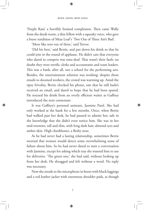'Purple Rain' a horribly bruised complexion. Then came Wally from the deeds room, a thin fellow with a squeaky voice, who gave a brave rendition of Meat Loaf's 'Two Out of Three Ain't Bad'.

'More like zero out of three,' said Trevor.

'Did his best,' said Bertie, and put down his drink so that he could join in the round of applause. He didn't care that everyone who dared to compete was tone-deaf. That wasn't their fault: no doubt they were terrific clerks and accountants and team leaders. This was a bank, after all, not a school for the performing arts. Besides, the entertainment solution was working: despite those emails to doomed workers, the crowd was warming up. Amid the tipsy frivolity, Bertie checked his phone, saw that he still hadn't received an email, and dared to hope that he had been spared. He rescued his drink from an overly efficient waiter as Gaffney introduced the next contestant.

It was Gaffney's personal assistant, Jasmine Patel. She had only worked at the bank for a few months. Once, when Bertie had walked past her desk, he had paused to admire her, safe in the knowledge that she didn't even notice him. She was in her mid-twenties, tall and slim, with long dark hair, almond eyes and amber skin. High cheekbones, a fleshy nose.

As he had never had a lasting relationship, sometimes Bertie worried that women would detect some overwhelming sense of failure about him. So he had never dared to start a conversation with Jasmine, except for asking which tray she wanted him to use for deliveries. 'The green one,' she had said, without looking up from her desk. He shrugged and left without a word. No reply was necessary.

Now she strode to the microphone in boots with black leggings and a red leather jacket with enormous shoulder pads, as though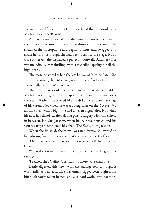she was dressed for a retro party, and declared that she would sing Michael Jackson's 'Beat It'.

At first, Bertie expected that she would be no better than all the other contestants. But when that thumping bass started, she snatched the microphone and began to strut, and swagger, and shake her hips as though she had been born for the stage. Not a trace of nerves. She displayed a perfect moonwalk. And her voice was melodious, even thrilling, with a crystalline quality for all the high notes.

The more he stared at her, the less he saw of Jasmine Patel. She wasn't just singing like Michael Jackson. For a few brief minutes, she actually became Michael Jackson.

Then again, it would be wrong to say that she resembled Michael Jackson, given that his appearance changed so much over the years. Rather, she looked like he did at one particular stage of his career. Not when he was a young man on the *Off the Wall* album cover, with a big smile and an even bigger afro. Not when his nose had dissolved after all that plastic surgery. No, somewhere in between, late-80s Jackson, when his hair was tousled and his skin wasn't yet completely bleached. The *Bad-*album Jackson.

When she finished, the crowd was in a frenzy. She waved to her adoring fans and blew a kiss. Was that aimed at Gaffney?

'Damn set-up,' said Trevor. 'Guess who's off to the Gold Coast?'

'What do you mean?' asked Bertie, as he devoured a gourmet sausage roll.

'I reckon she's Gaffney's assistant in more ways than one.'

Bertie digested this news with the sausage roll, although it was hardly as palatable. Life was unfair, rigged even, right from birth. Although talent helped, and also hard work, it was far more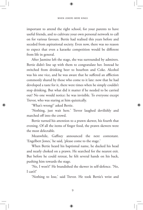important to attend the right school, for your parents to have useful friends, and to cultivate your own personal network to call on for various favours. Bertie had realised this years before and seceded from aspirational society. Even now, there was no reason to expect that even a karaoke competition would be different from life in general.

After Jasmine left the stage, she was surrounded by admirers. Bertie didn't line up with them to congratulate her. Instead he switched from drinking beer to bourbon and Coke. Alcohol was his one vice, and he was aware that he suffered an affliction commonly shared by those who come to it late: now that he had developed a taste for it, there were times when he simply couldn't stop drinking. But what did it matter if he needed to be carried out? No one would notice: he was invisible. To everyone except Trevor, who was staring at him quizzically.

'What's wrong?' asked Bertie.

'Nothing, just wait here.' Trevor laughed devilishly and marched off into the crowd.

Bertie turned his attention to a prawn skewer, his fourth that evening. Of all the items of finger food, the prawn skewers were the most delectable.

Meanwhile, Gaffney announced the next contestant. 'Engelbert Jones,' he said, 'please come to the stage.'

When Bertie heard his baptismal name, he ducked his head and nearly choked on a prawn. He searched for the nearest exit. But before he could retreat, he felt several hands on his back, pushing him towards the stage.

'No, I won't!' He brandished the skewer in self-defence. 'No, I can't!'

'Nothing to lose,' said Trevor. He took Bertie's wrist and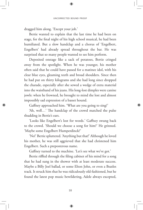dragged him along. 'Except your job.'

Bertie wanted to explain that the last time he had been on stage, for the final night of his high school musical, he had been humiliated. But a slow handclap and a chorus of 'Engelbert, Engelbert' had already spread throughout the bar. He was surprised that so many people wanted to see him perform.

Deposited onstage like a sack of potatoes, Bertie cringed away from the spotlight. When he was younger, his mother often said that he could have passed for a matinee idol, with his clear blue eyes, gleaming teeth and broad shoulders. Since then he had put on thirty kilograms and she had long since dropped the charade, especially after she sewed a wedge of extra material into the waistband of his jeans. His long-lost dimples were canine jowls: when he frowned, he brought to mind the lost and almost impossibly sad expression of a basset hound.

Gaffney approached him. 'What are you going to sing?'

'Ah, well…' The handclap of the crowd matched the pulse thudding in Bertie's ears.

'Looks like Engelbert's lost for words.' Gaffney swung back to the crowd. 'Should we choose a song for him?' He grinned. 'Maybe some Engelbert Humperdinck?'

'No!' Bertie spluttered. 'Anything but that!' Although he loved his mother, he was still aggrieved that she had christened him Engelbert. Such a preposterous name.

Gaffney turned to the machine. 'Let's see what we've got.'

Bertie riffled through the filing cabinet of his mind for a song that he had sung in the shower with at least moderate success. Maybe a Billy Joel ballad, or some Elton John, or even a Beatles track. It struck him that he was ridiculously old-fashioned, but he found the latest pop music bewildering, Adele always excepted,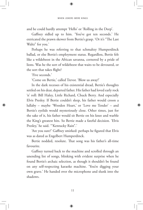and he could hardly attempt 'Hello' or 'Rolling in the Deep'.

Gaffney sidled up to him. 'You've got ten seconds.' He extricated the prawn skewer from Bertie's grasp. 'Or it's "The Last Waltz" for you.'

Perhaps he was referring to that schmaltzy Humperdinck ballad, or else Bertie's employment status. Regardless, Bertie felt like a wildebeest in the African savanna, cornered by a pride of lions. Was he the sort of wildebeest that waits to be devoured, or the sort that takes flight?

'Five seconds.'

'Come on Bertie,' called Trevor. 'Blow us away!'

In the dark recesses of his existential dread, Bertie's thoughts settled on his dear, departed father. His father had loved early rock 'n' roll: Bill Haley, Little Richard, Chuck Berry. And especially Elvis Presley. If Bertie couldn't sleep, his father would croon a lullaby – maybe 'Wooden Heart,' or 'Love me Tender' – and Bertie's eyelids would mysteriously close. Other times, just for the sake of it, his father would sit Bertie on his knee and warble the King's greatest hits. So Bertie made a fateful decision. 'Elvis Presley,' he said. "Kentucky Rain".'

'Are you sure?' Gaffney smirked: perhaps he figured that Elvis was as dated as Engelbert Humperdinck.

Bertie nodded, resolute. That song was his father's all-time favourite.

Gaffney turned back to the machine and scrolled through an unending list of songs, blinking with evident surprise when he found Bertie's archaic selection, as though it shouldn't be found on any self-respecting karaoke machine. 'You're digging your own grave.' He handed over the microphone and slunk into the shadows.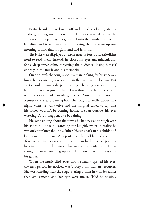Bertie heard the keyboard riff and stood stock-still, staring at the glistening microphone, not daring even to glance at the audience. The opening arpeggios led into the familiar bouncing bass-line, and it was time for him to sing that he woke up one morning to find that his girlfriend had left him.

The lyrics were displayed on a screen at his feet, but Bertie didn't need to read them. Instead, he closed his eyes and miraculously felt a deep inner calm, forgetting the audience, losing himself entirely in the music and his memories.

On one level, the song is about a man looking for his runaway lover: he is searching everywhere in the cold Kentucky rain. But Bertie could divine a deeper meaning. The song was about him, had been written just for him. Even though he had never been to Kentucky or had a steady girlfriend. None of that mattered. Kentucky was just a metaphor. The song was really about that night when he was twelve and the hospital called to say that his father wouldn't be coming home. He ran outside, his eyes watering. And it happened to be raining.

He kept singing about the towns he had passed through with his shoes full of rain, searching for his girl, when in reality he was only thinking about his father. He was back in his childhood bedroom with the *Toy Story* poster on the wall behind the door. Tears welled in his eyes but he held them back, instead pouring his emotions into the lyrics. That was oddly satisfying. It felt as though he were coughing up a chicken bone that had lodged in his gullet.

When the music died away and he finally opened his eyes, the first person he noticed was Tracey from human resources. She was standing near the stage, staring at him in wonder rather than amusement, and her eyes were moist. (Had he possibly